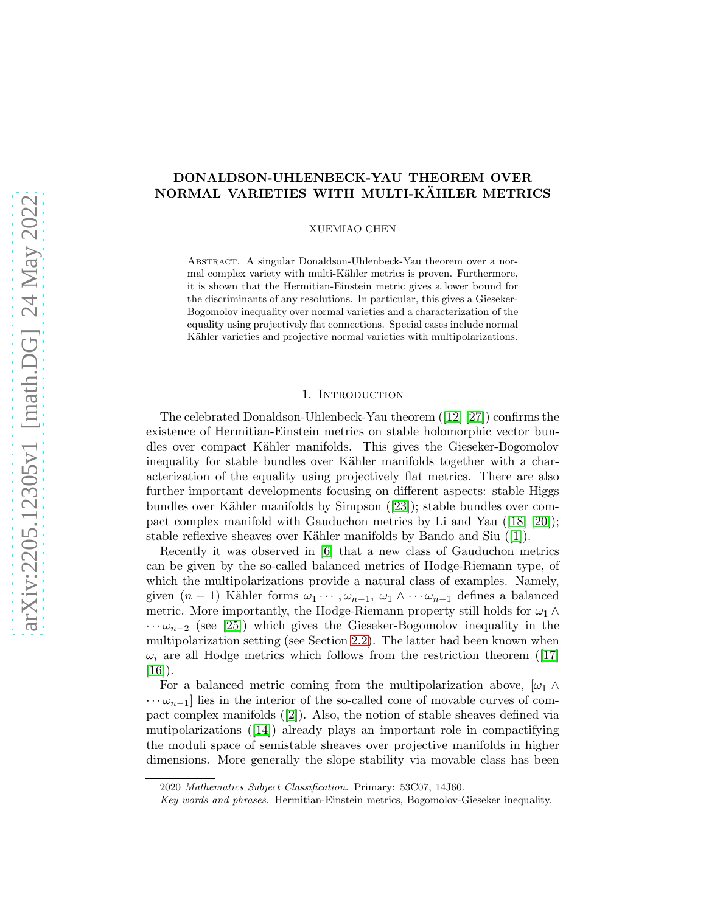# DONALDSON-UHLENBECK-YAU THEOREM OVER NORMAL VARIETIES WITH MULTI-KÄHLER METRICS

XUEMIAO CHEN

Abstract. A singular Donaldson-Uhlenbeck-Yau theorem over a normal complex variety with multi-Kähler metrics is proven. Furthermore, it is shown that the Hermitian-Einstein metric gives a lower bound for the discriminants of any resolutions. In particular, this gives a Gieseker-Bogomolov inequality over normal varieties and a characterization of the equality using projectively flat connections. Special cases include normal Kähler varieties and projective normal varieties with multipolarizations.

#### 1. Introduction

The celebrated Donaldson-Uhlenbeck-Yau theorem ([\[12\]](#page-16-0) [\[27\]](#page-17-0)) confirms the existence of Hermitian-Einstein metrics on stable holomorphic vector bundles over compact K¨ahler manifolds. This gives the Gieseker-Bogomolov inequality for stable bundles over Kähler manifolds together with a characterization of the equality using projectively flat metrics. There are also further important developments focusing on different aspects: stable Higgs bundles over Kähler manifolds by Simpson ([\[23\]](#page-17-1)); stable bundles over compact complex manifold with Gauduchon metrics by Li and Yau ([\[18\]](#page-16-1) [\[20\]](#page-17-2)); stable reflexive sheaves over Kähler manifolds by Bando and Siu  $(1)$ .

Recently it was observed in [\[6\]](#page-16-3) that a new class of Gauduchon metrics can be given by the so-called balanced metrics of Hodge-Riemann type, of which the multipolarizations provide a natural class of examples. Namely, given  $(n-1)$  Kähler forms  $\omega_1 \cdots, \omega_{n-1}, \omega_1 \wedge \cdots \omega_{n-1}$  defines a balanced metric. More importantly, the Hodge-Riemann property still holds for  $\omega_1 \wedge$  $\cdots \omega_{n-2}$  (see [\[25\]](#page-17-3)) which gives the Gieseker-Bogomolov inequality in the multipolarization setting (see Section [2.2\)](#page-5-0). The latter had been known when  $\omega_i$  are all Hodge metrics which follows from the restriction theorem ([\[17\]](#page-16-4))  $[16]$ ).

For a balanced metric coming from the multipolarization above,  $|\omega_1 \wedge$  $\cdots \omega_{n-1}$ ] lies in the interior of the so-called cone of movable curves of compact complex manifolds ([\[2\]](#page-16-6)). Also, the notion of stable sheaves defined via mutipolarizations ([\[14\]](#page-16-7)) already plays an important role in compactifying the moduli space of semistable sheaves over projective manifolds in higher dimensions. More generally the slope stability via movable class has been

<sup>2020</sup> Mathematics Subject Classification. Primary: 53C07, 14J60.

Key words and phrases. Hermitian-Einstein metrics, Bogomolov-Gieseker inequality.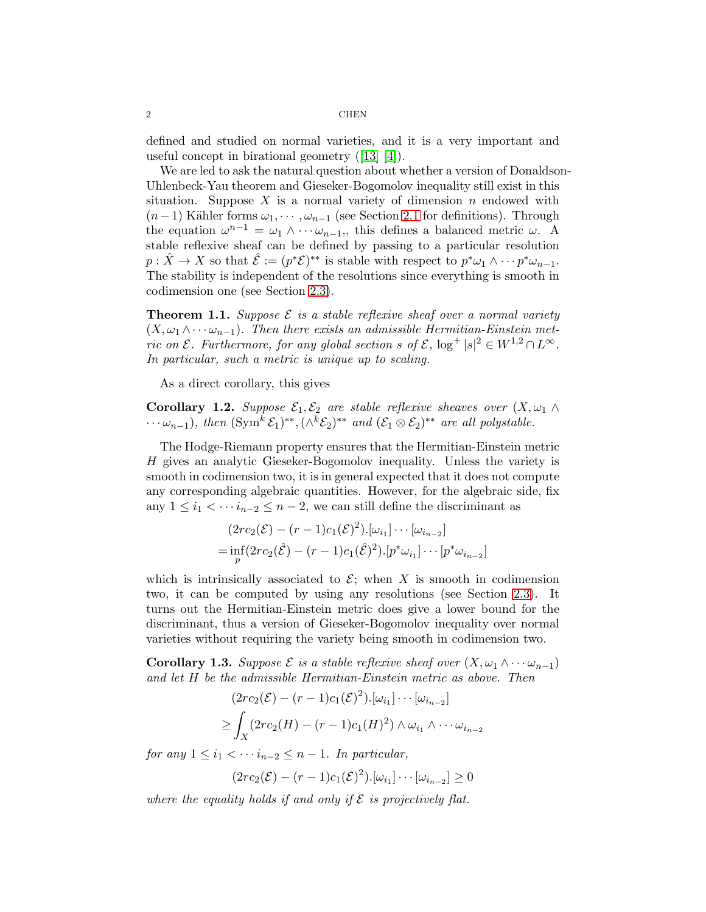defined and studied on normal varieties, and it is a very important and useful concept in birational geometry ([\[13\]](#page-16-8) [\[4\]](#page-16-9)).

We are led to ask the natural question about whether a version of Donaldson-Uhlenbeck-Yau theorem and Gieseker-Bogomolov inequality still exist in this situation. Suppose  $X$  is a normal variety of dimension n endowed with  $(n-1)$  Kähler forms  $\omega_1, \dots, \omega_{n-1}$  (see Section [2.1](#page-4-0) for definitions). Through the equation  $\omega^{n-1} = \omega_1 \wedge \cdots \omega_{n-1}$ , this defines a balanced metric  $\omega$ . A stable reflexive sheaf can be defined by passing to a particular resolution  $p: \hat{X} \to X$  so that  $\hat{\mathcal{E}} := (p^*\mathcal{E})^{**}$  is stable with respect to  $p^*\omega_1 \wedge \cdots p^*\omega_{n-1}$ . The stability is independent of the resolutions since everything is smooth in codimension one (see Section [2.3\)](#page-6-0).

**Theorem 1.1.** Suppose  $\mathcal{E}$  is a stable reflexive sheaf over a normal variety  $(X, \omega_1 \wedge \cdots \omega_{n-1})$ . Then there exists an admissible Hermitian-Einstein metric on  $\mathcal{E}$ . Furthermore, for any global section s of  $\mathcal{E}$ ,  $\log^+ |s|^2 \in W^{1,2} \cap L^{\infty}$ . In particular, such a metric is unique up to scaling.

As a direct corollary, this gives

<span id="page-1-0"></span>**Corollary 1.2.** Suppose  $\mathcal{E}_1, \mathcal{E}_2$  are stable reflexive sheaves over  $(X, \omega_1 \wedge$  $\cdots \omega_{n-1}$ ), then  $(\text{Sym}^k \mathcal{E}_1)^{**}, (\wedge^k \mathcal{E}_2)^{**}$  and  $(\mathcal{E}_1 \otimes \mathcal{E}_2)^{**}$  are all polystable.

The Hodge-Riemann property ensures that the Hermitian-Einstein metric H gives an analytic Gieseker-Bogomolov inequality. Unless the variety is smooth in codimension two, it is in general expected that it does not compute any corresponding algebraic quantities. However, for the algebraic side, fix any  $1 \leq i_1 < \cdots i_{n-2} \leq n-2$ , we can still define the discriminant as

$$
(2rc_2(\mathcal{E}) - (r-1)c_1(\mathcal{E})^2) \cdot [\omega_{i_1}] \cdots [\omega_{i_{n-2}}]
$$
  
=  $\inf_p (2rc_2(\mathcal{E}) - (r-1)c_1(\mathcal{E})^2) \cdot [p^*\omega_{i_1}] \cdots [p^*\omega_{i_{n-2}}]$ 

which is intrinsically associated to  $\mathcal{E}$ ; when X is smooth in codimension two, it can be computed by using any resolutions (see Section [2.3\)](#page-6-0). It turns out the Hermitian-Einstein metric does give a lower bound for the discriminant, thus a version of Gieseker-Bogomolov inequality over normal varieties without requiring the variety being smooth in codimension two.

**Corollary 1.3.** Suppose  $\mathcal E$  is a stable reflexive sheaf over  $(X, \omega_1 \wedge \cdots \omega_{n-1})$ and let H be the admissible Hermitian-Einstein metric as above. Then

$$
(2rc_2(\mathcal{E}) - (r-1)c_1(\mathcal{E})^2) \cdot [\omega_{i_1}] \cdots [\omega_{i_{n-2}}]
$$
  
\n
$$
\geq \int_X (2rc_2(H) - (r-1)c_1(H)^2) \wedge \omega_{i_1} \wedge \cdots \omega_{i_{n-2}}
$$

for any  $1 \leq i_1 < \cdots i_{n-2} \leq n-1$ . In particular,

$$
(2rc_2(\mathcal{E}) - (r-1)c_1(\mathcal{E})^2) \cdot [\omega_{i_1}] \cdots [\omega_{i_{n-2}}] \ge 0
$$

where the equality holds if and only if  $\mathcal E$  is projectively flat.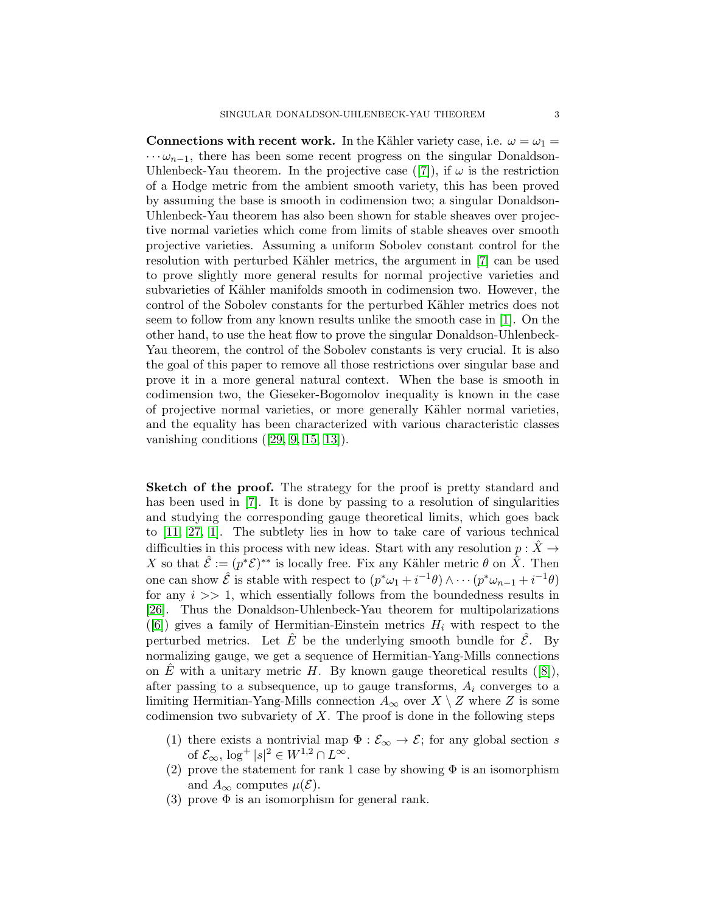Connections with recent work. In the Kähler variety case, i.e.  $\omega = \omega_1 =$  $\cdots \omega_{n-1}$ , there has been some recent progress on the singular Donaldson-Uhlenbeck-Yau theorem. In the projective case ([\[7\]](#page-16-10)), if  $\omega$  is the restriction of a Hodge metric from the ambient smooth variety, this has been proved by assuming the base is smooth in codimension two; a singular Donaldson-Uhlenbeck-Yau theorem has also been shown for stable sheaves over projective normal varieties which come from limits of stable sheaves over smooth projective varieties. Assuming a uniform Sobolev constant control for the resolution with perturbed Kähler metrics, the argument in [\[7\]](#page-16-10) can be used to prove slightly more general results for normal projective varieties and subvarieties of Kähler manifolds smooth in codimension two. However, the control of the Sobolev constants for the perturbed Kähler metrics does not seem to follow from any known results unlike the smooth case in [\[1\]](#page-16-2). On the other hand, to use the heat flow to prove the singular Donaldson-Uhlenbeck-Yau theorem, the control of the Sobolev constants is very crucial. It is also the goal of this paper to remove all those restrictions over singular base and prove it in a more general natural context. When the base is smooth in codimension two, the Gieseker-Bogomolov inequality is known in the case of projective normal varieties, or more generally K¨ahler normal varieties, and the equality has been characterized with various characteristic classes vanishing conditions ([\[29,](#page-17-4) [9,](#page-16-11) [15,](#page-16-12) [13\]](#page-16-8)).

Sketch of the proof. The strategy for the proof is pretty standard and has been used in [\[7\]](#page-16-10). It is done by passing to a resolution of singularities and studying the corresponding gauge theoretical limits, which goes back to [\[11,](#page-16-13) [27,](#page-17-0) [1\]](#page-16-2). The subtlety lies in how to take care of various technical difficulties in this process with new ideas. Start with any resolution  $p : \hat{X} \to$ X so that  $\hat{\mathcal{E}} := (p^*\mathcal{E})^{**}$  is locally free. Fix any Kähler metric  $\theta$  on  $\hat{X}$ . Then one can show  $\hat{\mathcal{E}}$  is stable with respect to  $(p^*\omega_1 + i^{-1}\theta) \wedge \cdots (p^*\omega_{n-1} + i^{-1}\theta)$ for any  $i \gg 1$ , which essentially follows from the boundedness results in [\[26\]](#page-17-5). Thus the Donaldson-Uhlenbeck-Yau theorem for multipolarizations ([\[6\]](#page-16-3)) gives a family of Hermitian-Einstein metrics  $H_i$  with respect to the perturbed metrics. Let  $\hat{E}$  be the underlying smooth bundle for  $\hat{\mathcal{E}}$ . By normalizing gauge, we get a sequence of Hermitian-Yang-Mills connections on E with a unitary metric H. By known gauge theoretical results  $([8])$  $([8])$  $([8])$ , after passing to a subsequence, up to gauge transforms,  $A_i$  converges to a limiting Hermitian-Yang-Mills connection  $A_{\infty}$  over  $X \setminus Z$  where Z is some codimension two subvariety of  $X$ . The proof is done in the following steps

- (1) there exists a nontrivial map  $\Phi : \mathcal{E}_{\infty} \to \mathcal{E}$ ; for any global section s of  $\mathcal{E}_{\infty}$ ,  $\log^+ |s|^2 \in W^{1,2} \cap L^{\infty}$ .
- (2) prove the statement for rank 1 case by showing  $\Phi$  is an isomorphism and  $A_{\infty}$  computes  $\mu(\mathcal{E})$ .
- (3) prove  $\Phi$  is an isomorphism for general rank.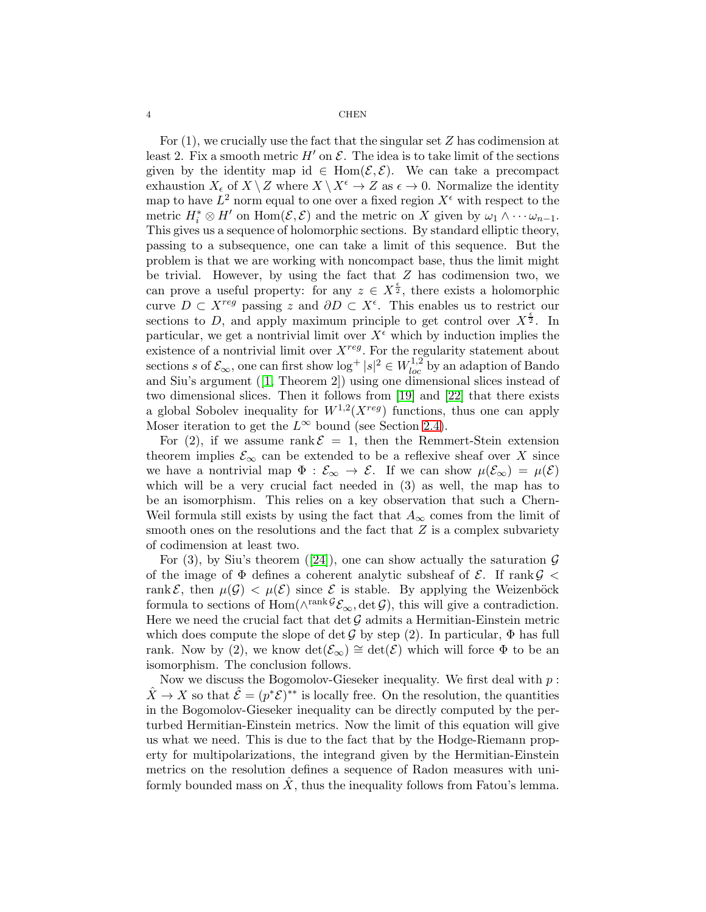For  $(1)$ , we crucially use the fact that the singular set Z has codimension at least 2. Fix a smooth metric  $H'$  on  $\mathcal E$ . The idea is to take limit of the sections given by the identity map id  $\in$  Hom $(\mathcal{E}, \mathcal{E})$ . We can take a precompact exhaustion  $X_{\epsilon}$  of  $X \setminus Z$  where  $X \setminus X^{\epsilon} \to Z$  as  $\epsilon \to 0$ . Normalize the identity map to have  $L^2$  norm equal to one over a fixed region  $X^{\epsilon}$  with respect to the metric  $H_i^* \otimes H'$  on  $\text{Hom}(\mathcal{E}, \mathcal{E})$  and the metric on X given by  $\omega_1 \wedge \cdots \omega_{n-1}$ . This gives us a sequence of holomorphic sections. By standard elliptic theory, passing to a subsequence, one can take a limit of this sequence. But the problem is that we are working with noncompact base, thus the limit might be trivial. However, by using the fact that  $Z$  has codimension two, we can prove a useful property: for any  $z \in X^{\frac{\epsilon}{2}}$ , there exists a holomorphic curve  $D \subset X^{reg}$  passing z and  $\partial D \subset X^{\epsilon}$ . This enables us to restrict our sections to D, and apply maximum principle to get control over  $X^{\frac{\epsilon}{2}}$ . In particular, we get a nontrivial limit over  $X^{\epsilon}$  which by induction implies the existence of a nontrivial limit over  $X^{reg}$ . For the regularity statement about sections s of  $\mathcal{E}_{\infty}$ , one can first show  $\log^+ |s|^2 \in W^{1,2}_{loc}$  by an adaption of Bando and Siu's argument ([\[1,](#page-16-2) Theorem 2]) using one dimensional slices instead of two dimensional slices. Then it follows from [\[19\]](#page-16-15) and [\[22\]](#page-17-6) that there exists a global Sobolev inequality for  $W^{1,2}(X^{reg})$  functions, thus one can apply Moser iteration to get the  $L^{\infty}$  bound (see Section [2.4\)](#page-7-0).

For (2), if we assume rank  $\mathcal{E} = 1$ , then the Remmert-Stein extension theorem implies  $\mathcal{E}_{\infty}$  can be extended to be a reflexive sheaf over X since we have a nontrivial map  $\Phi : \mathcal{E}_{\infty} \to \mathcal{E}$ . If we can show  $\mu(\mathcal{E}_{\infty}) = \mu(\mathcal{E})$ which will be a very crucial fact needed in  $(3)$  as well, the map has to be an isomorphism. This relies on a key observation that such a Chern-Weil formula still exists by using the fact that  $A_{\infty}$  comes from the limit of smooth ones on the resolutions and the fact that  $Z$  is a complex subvariety of codimension at least two.

For (3), by Siu's theorem ([\[24\]](#page-17-7)), one can show actually the saturation  $\mathcal G$ of the image of  $\Phi$  defines a coherent analytic subsheaf of  $\mathcal{E}$ . If rank  $\mathcal{G}$  < rank  $\mathcal{E}$ , then  $\mu(\mathcal{G}) < \mu(\mathcal{E})$  since  $\mathcal E$  is stable. By applying the Weizenböck formula to sections of  $\text{Hom}(\wedge^{\text{rank}\mathcal{G}}\mathcal{E}_{\infty}, \det \mathcal{G})$ , this will give a contradiction. Here we need the crucial fact that  $\det \mathcal{G}$  admits a Hermitian-Einstein metric which does compute the slope of det G by step (2). In particular,  $\Phi$  has full rank. Now by (2), we know  $\det(\mathcal{E}_{\infty}) \cong \det(\mathcal{E})$  which will force  $\Phi$  to be an isomorphism. The conclusion follows.

Now we discuss the Bogomolov-Gieseker inequality. We first deal with  $p$ :  $\hat{X} \to X$  so that  $\hat{\mathcal{E}} = (p^*\mathcal{E})^{**}$  is locally free. On the resolution, the quantities in the Bogomolov-Gieseker inequality can be directly computed by the perturbed Hermitian-Einstein metrics. Now the limit of this equation will give us what we need. This is due to the fact that by the Hodge-Riemann property for multipolarizations, the integrand given by the Hermitian-Einstein metrics on the resolution defines a sequence of Radon measures with uniformly bounded mass on  $\hat{X}$ , thus the inequality follows from Fatou's lemma.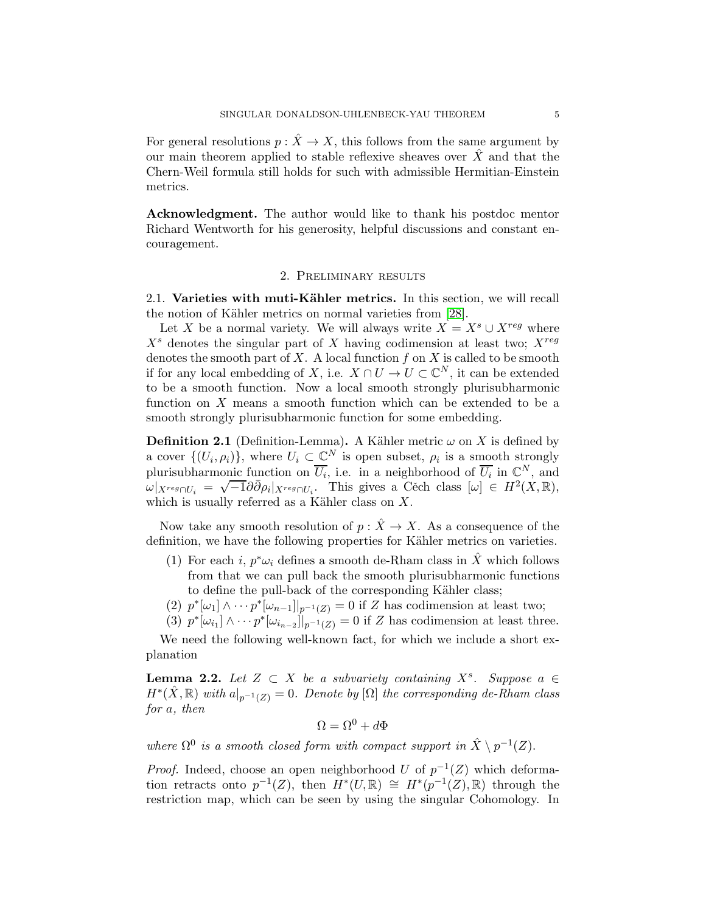For general resolutions  $p: \hat{X} \to X$ , this follows from the same argument by our main theorem applied to stable reflexive sheaves over  $\hat{X}$  and that the Chern-Weil formula still holds for such with admissible Hermitian-Einstein metrics.

Acknowledgment. The author would like to thank his postdoc mentor Richard Wentworth for his generosity, helpful discussions and constant encouragement.

### 2. Preliminary results

<span id="page-4-0"></span>2.1. Varieties with muti-Kähler metrics. In this section, we will recall the notion of Kähler metrics on normal varieties from [\[28\]](#page-17-8).

Let X be a normal variety. We will always write  $X = X<sup>s</sup> \cup X<sup>reg</sup>$  where  $X<sup>s</sup>$  denotes the singular part of X having codimension at least two;  $X<sup>reg</sup>$ denotes the smooth part of  $X$ . A local function  $f$  on  $X$  is called to be smooth if for any local embedding of X, i.e.  $X \cap U \to U \subset \mathbb{C}^N$ , it can be extended to be a smooth function. Now a local smooth strongly plurisubharmonic function on X means a smooth function which can be extended to be a smooth strongly plurisubharmonic function for some embedding.

**Definition 2.1** (Definition-Lemma). A Kähler metric  $\omega$  on X is defined by a cover  $\{(U_i, \rho_i)\}\)$ , where  $U_i \subset \mathbb{C}^N$  is open subset,  $\rho_i$  is a smooth strongly plurisubharmonic function on  $\overline{U_i}$ , i.e. in a neighborhood of  $\overline{U_i}$  in  $\mathbb{C}^N$ , and  $\omega|_{X^{reg} \cap U_i} = \sqrt{-1} \partial \overline{\partial} \rho_i|_{X^{reg} \cap U_i}$ . This gives a Cěch class  $[\omega] \in H^2(X, \mathbb{R}),$ which is usually referred as a Kähler class on  $X$ .

Now take any smooth resolution of  $p: \hat{X} \to X$ . As a consequence of the definition, we have the following properties for Kähler metrics on varieties.

- (1) For each *i*,  $p^*\omega_i$  defines a smooth de-Rham class in  $\hat{X}$  which follows from that we can pull back the smooth plurisubharmonic functions to define the pull-back of the corresponding Kähler class;
- (2)  $p^*[\omega_1] \wedge \cdots p^*[\omega_{n-1}]|_{p^{-1}(Z)} = 0$  if Z has codimension at least two;
- (3)  $p^*[\omega_{i_1}] \wedge \cdots p^*[\omega_{i_{n-2}}]|_{p^{-1}(Z)} = 0$  if Z has codimension at least three.

We need the following well-known fact, for which we include a short explanation

**Lemma 2.2.** Let  $Z \subset X$  be a subvariety containing  $X^s$ . Suppose  $a \in X$  $H^*(\hat{X}, \mathbb{R})$  with  $a|_{p^{-1}(Z)} = 0$ . Denote by  $[\Omega]$  the corresponding de-Rham class for a, then

$$
\Omega = \Omega^0 + d\Phi
$$

where  $\Omega^0$  is a smooth closed form with compact support in  $\hat{X} \setminus p^{-1}(Z)$ .

*Proof.* Indeed, choose an open neighborhood U of  $p^{-1}(Z)$  which deformation retracts onto  $p^{-1}(Z)$ , then  $H^*(U,\mathbb{R}) \cong H^*(p^{-1}(Z),\mathbb{R})$  through the restriction map, which can be seen by using the singular Cohomology. In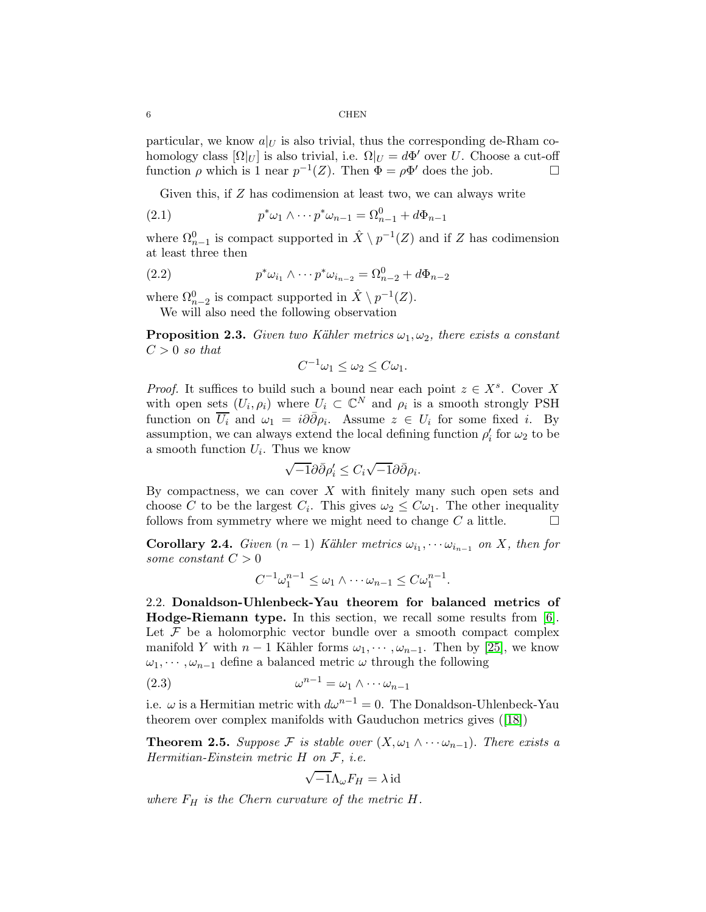particular, we know  $a|_U$  is also trivial, thus the corresponding de-Rham cohomology class  $[\Omega|_U]$  is also trivial, i.e.  $\Omega|_U = d\Phi'$  over U. Choose a cut-off function  $\rho$  which is 1 near  $p^{-1}(Z)$ . Then  $\Phi = \rho \Phi'$  does the job.

<span id="page-5-1"></span>Given this, if Z has codimension at least two, we can always write

(2.1) 
$$
p^*\omega_1 \wedge \cdots p^*\omega_{n-1} = \Omega_{n-1}^0 + d\Phi_{n-1}
$$

where  $\Omega_{n-1}^0$  is compact supported in  $\hat{X} \setminus p^{-1}(Z)$  and if Z has codimension at least three then

(2.2) 
$$
p^*\omega_{i_1} \wedge \cdots p^*\omega_{i_{n-2}} = \Omega_{n-2}^0 + d\Phi_{n-2}
$$

where  $\Omega_{n-2}^0$  is compact supported in  $\hat{X} \setminus p^{-1}(Z)$ . We will also need the following observation

**Proposition 2.3.** Given two Kähler metrics  $\omega_1, \omega_2$ , there exists a constant  $C > 0$  so that

<span id="page-5-2"></span>
$$
C^{-1}\omega_1 \leq \omega_2 \leq C\omega_1.
$$

*Proof.* It suffices to build such a bound near each point  $z \in X<sup>s</sup>$ . Cover X with open sets  $(U_i, \rho_i)$  where  $U_i \subset \mathbb{C}^N$  and  $\rho_i$  is a smooth strongly PSH function on  $\overline{U_i}$  and  $\omega_1 = i\partial\overline{\partial}\rho_i$ . Assume  $z \in U_i$  for some fixed i. By assumption, we can always extend the local defining function  $\rho'_i$  for  $\omega_2$  to be a smooth function  $U_i$ . Thus we know

$$
\sqrt{-1}\partial\bar{\partial}\rho'_i \leq C_i\sqrt{-1}\partial\bar{\partial}\rho_i.
$$

By compactness, we can cover  $X$  with finitely many such open sets and choose C to be the largest  $C_i$ . This gives  $\omega_2 \leq C \omega_1$ . The other inequality follows from symmetry where we might need to change  $C$  a little.  $\hfill \Box$ 

<span id="page-5-3"></span>**Corollary 2.4.** Given  $(n-1)$  Kähler metrics  $\omega_{i_1}, \cdots \omega_{i_{n-1}}$  on X, then for some constant  $C > 0$ 

$$
C^{-1}\omega_1^{n-1} \leq \omega_1 \wedge \cdots \omega_{n-1} \leq C\omega_1^{n-1}.
$$

<span id="page-5-0"></span>2.2. Donaldson-Uhlenbeck-Yau theorem for balanced metrics of Hodge-Riemann type. In this section, we recall some results from [\[6\]](#page-16-3). Let  $\mathcal F$  be a holomorphic vector bundle over a smooth compact complex manifold Y with  $n-1$  Kähler forms  $\omega_1, \dots, \omega_{n-1}$ . Then by [\[25\]](#page-17-3), we know  $\omega_1, \dots, \omega_{n-1}$  define a balanced metric  $\omega$  through the following

$$
\omega^{n-1} = \omega_1 \wedge \cdots \omega_{n-1}
$$

i.e.  $\omega$  is a Hermitian metric with  $d\omega^{n-1} = 0$ . The Donaldson-Uhlenbeck-Yau theorem over complex manifolds with Gauduchon metrics gives ([\[18\]](#page-16-1))

<span id="page-5-4"></span>**Theorem 2.5.** Suppose F is stable over  $(X, \omega_1 \wedge \cdots \omega_{n-1})$ . There exists a Hermitian-Einstein metric H on F, i.e.

$$
\sqrt{-1}\Lambda_{\omega}F_H=\lambda\operatorname{id}
$$

where  $F_H$  is the Chern curvature of the metric H.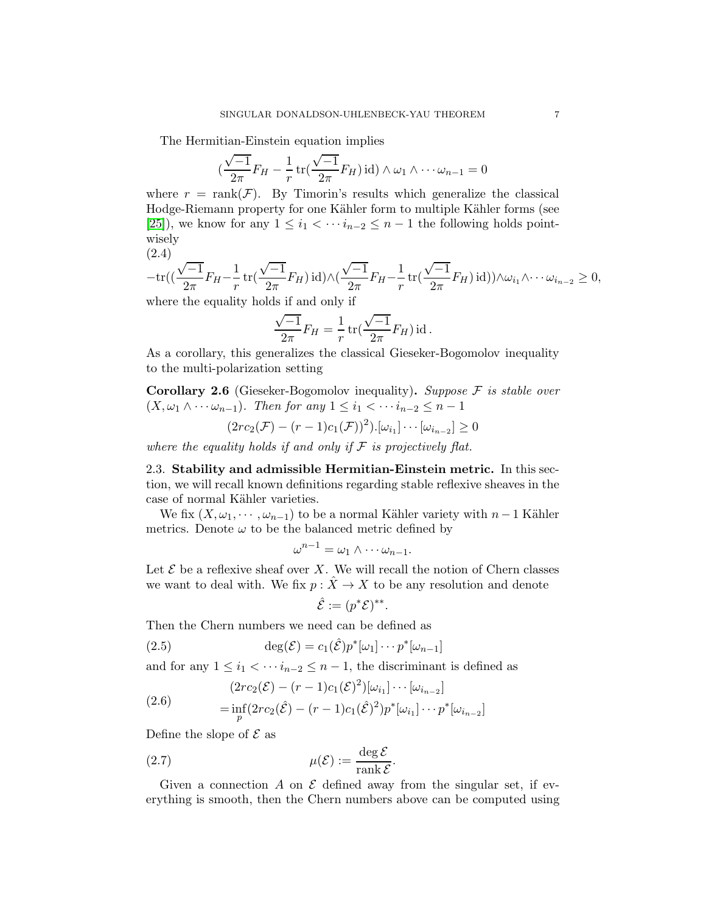The Hermitian-Einstein equation implies

$$
\left(\frac{\sqrt{-1}}{2\pi}F_H - \frac{1}{r}\operatorname{tr}\left(\frac{\sqrt{-1}}{2\pi}F_H\right)\operatorname{id}\right) \wedge \omega_1 \wedge \cdots \omega_{n-1} = 0
$$

where  $r = \text{rank}(\mathcal{F})$ . By Timorin's results which generalize the classical Hodge-Riemann property for one Kähler form to multiple Kähler forms (see [\[25\]](#page-17-3)), we know for any  $1 \leq i_1 < \cdots i_{n-2} \leq n-1$  the following holds pointwisely

(2.4)

<span id="page-6-1"></span>
$$
-tr((\frac{\sqrt{-1}}{2\pi}F_H - \frac{1}{r}tr(\frac{\sqrt{-1}}{2\pi}F_H)id)\wedge (\frac{\sqrt{-1}}{2\pi}F_H - \frac{1}{r}tr(\frac{\sqrt{-1}}{2\pi}F_H)id))\wedge \omega_{i_1}\wedge \cdots \omega_{i_{n-2}} \ge 0,
$$
  
where the equality holds if and only if

$$
\frac{\sqrt{-1}}{2\pi}F_H = \frac{1}{r}\operatorname{tr}(\frac{\sqrt{-1}}{2\pi}F_H)\operatorname{id}.
$$

As a corollary, this generalizes the classical Gieseker-Bogomolov inequality to the multi-polarization setting

**Corollary 2.6** (Gieseker-Bogomolov inequality). Suppose  $\mathcal F$  is stable over  $(X, \omega_1 \wedge \cdots \omega_{n-1})$ . Then for any  $1 \leq i_1 < \cdots i_{n-2} \leq n-1$ 

$$
(2rc_2(\mathcal{F}) - (r-1)c_1(\mathcal{F}))^2).[\omega_{i_1}] \cdots [\omega_{i_{n-2}}] \ge 0
$$

<span id="page-6-0"></span>where the equality holds if and only if  $\mathcal F$  is projectively flat.

2.3. Stability and admissible Hermitian-Einstein metric. In this section, we will recall known definitions regarding stable reflexive sheaves in the case of normal Kähler varieties.

We fix  $(X, \omega_1, \dots, \omega_{n-1})$  to be a normal Kähler variety with  $n-1$  Kähler metrics. Denote  $\omega$  to be the balanced metric defined by

$$
\omega^{n-1} = \omega_1 \wedge \cdots \omega_{n-1}.
$$

Let  $\mathcal E$  be a reflexive sheaf over X. We will recall the notion of Chern classes we want to deal with. We fix  $p : \hat{X} \to X$  to be any resolution and denote

$$
\hat{\mathcal{E}} := (p^* \mathcal{E})^{**}.
$$

Then the Chern numbers we need can be defined as

(2.5) 
$$
\deg(\mathcal{E}) = c_1(\hat{\mathcal{E}}) p^*[\omega_1] \cdots p^*[\omega_{n-1}]
$$

and for any  $1 \leq i_1 < \cdots i_{n-2} \leq n-1$ , the discriminant is defined as

(2.6) 
$$
(2rc_2(\mathcal{E}) - (r-1)c_1(\mathcal{E})^2)[\omega_{i_1}] \cdots [\omega_{i_{n-2}}]
$$

$$
= \inf_p (2rc_2(\hat{\mathcal{E}}) - (r-1)c_1(\hat{\mathcal{E}})^2)p^*[\omega_{i_1}] \cdots p^*[\omega_{i_{n-2}}]
$$

Define the slope of  $\mathcal E$  as

(2.7) 
$$
\mu(\mathcal{E}) := \frac{\deg \mathcal{E}}{\text{rank } \mathcal{E}}
$$

Given a connection  $A$  on  $\mathcal E$  defined away from the singular set, if everything is smooth, then the Chern numbers above can be computed using

.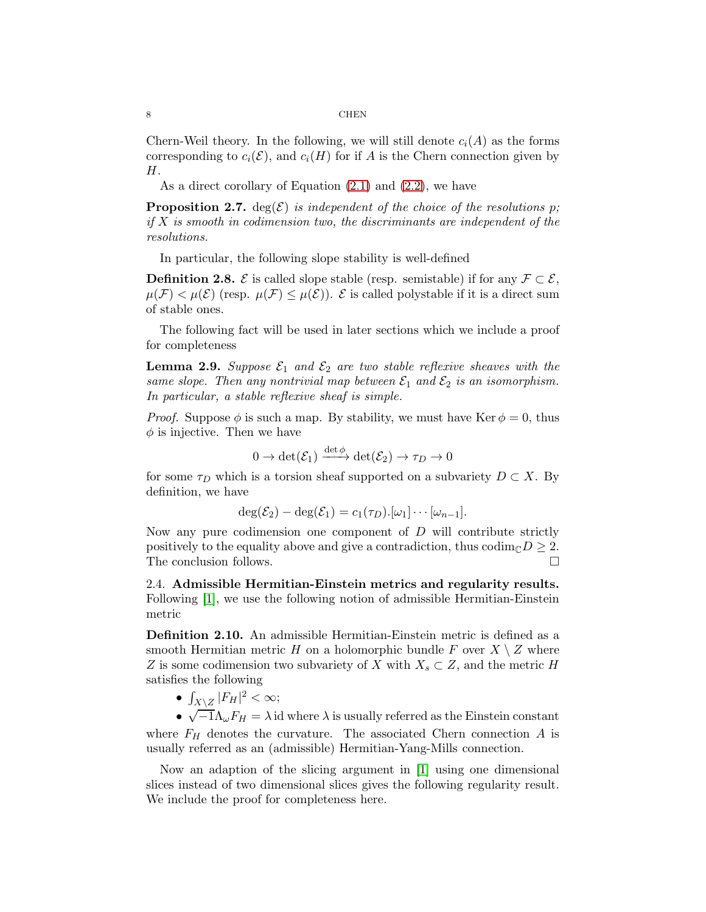Chern-Weil theory. In the following, we will still denote  $c_i(A)$  as the forms corresponding to  $c_i(\mathcal{E})$ , and  $c_i(H)$  for if A is the Chern connection given by H.

As a direct corollary of Equation [\(2.1\)](#page-5-1) and [\(2.2\)](#page-5-2), we have

**Proposition 2.7.** deg( $\mathcal{E}$ ) is independent of the choice of the resolutions p; if  $X$  is smooth in codimension two, the discriminants are independent of the resolutions.

In particular, the following slope stability is well-defined

**Definition 2.8.**  $\mathcal{E}$  is called slope stable (resp. semistable) if for any  $\mathcal{F} \subset \mathcal{E}$ ,  $\mu(\mathcal{F}) < \mu(\mathcal{E})$  (resp.  $\mu(\mathcal{F}) \leq \mu(\mathcal{E})$ ).  $\mathcal{E}$  is called polystable if it is a direct sum of stable ones.

The following fact will be used in later sections which we include a proof for completeness

<span id="page-7-1"></span>**Lemma 2.9.** Suppose  $\mathcal{E}_1$  and  $\mathcal{E}_2$  are two stable reflexive sheaves with the same slope. Then any nontrivial map between  $\mathcal{E}_1$  and  $\mathcal{E}_2$  is an isomorphism. In particular, a stable reflexive sheaf is simple.

*Proof.* Suppose  $\phi$  is such a map. By stability, we must have Ker  $\phi = 0$ , thus  $\phi$  is injective. Then we have

$$
0 \to \det(\mathcal{E}_1) \xrightarrow{\det \phi} \det(\mathcal{E}_2) \to \tau_D \to 0
$$

for some  $\tau_D$  which is a torsion sheaf supported on a subvariety  $D \subset X$ . By definition, we have

$$
\deg(\mathcal{E}_2) - \deg(\mathcal{E}_1) = c_1(\tau_D) . [\omega_1] \cdots [\omega_{n-1}].
$$

Now any pure codimension one component of  $D$  will contribute strictly positively to the equality above and give a contradiction, thus  $\text{codim}_{\mathbb{C}}D \geq 2$ .<br>The conclusion follows. The conclusion follows.

<span id="page-7-0"></span>2.4. Admissible Hermitian-Einstein metrics and regularity results. Following [\[1\]](#page-16-2), we use the following notion of admissible Hermitian-Einstein metric

Definition 2.10. An admissible Hermitian-Einstein metric is defined as a smooth Hermitian metric H on a holomorphic bundle F over  $X \setminus Z$  where Z is some codimension two subvariety of X with  $X_s \subset Z$ , and the metric H satisfies the following

•  $\int_{X \setminus Z} |F_H|^2 < \infty;$ 

•  $\sqrt{-1}\Lambda_{\omega}F_H = \lambda$  id where  $\lambda$  is usually referred as the Einstein constant where  $F_H$  denotes the curvature. The associated Chern connection A is usually referred as an (admissible) Hermitian-Yang-Mills connection.

Now an adaption of the slicing argument in [\[1\]](#page-16-2) using one dimensional slices instead of two dimensional slices gives the following regularity result. We include the proof for completeness here.

$$
8 \\
$$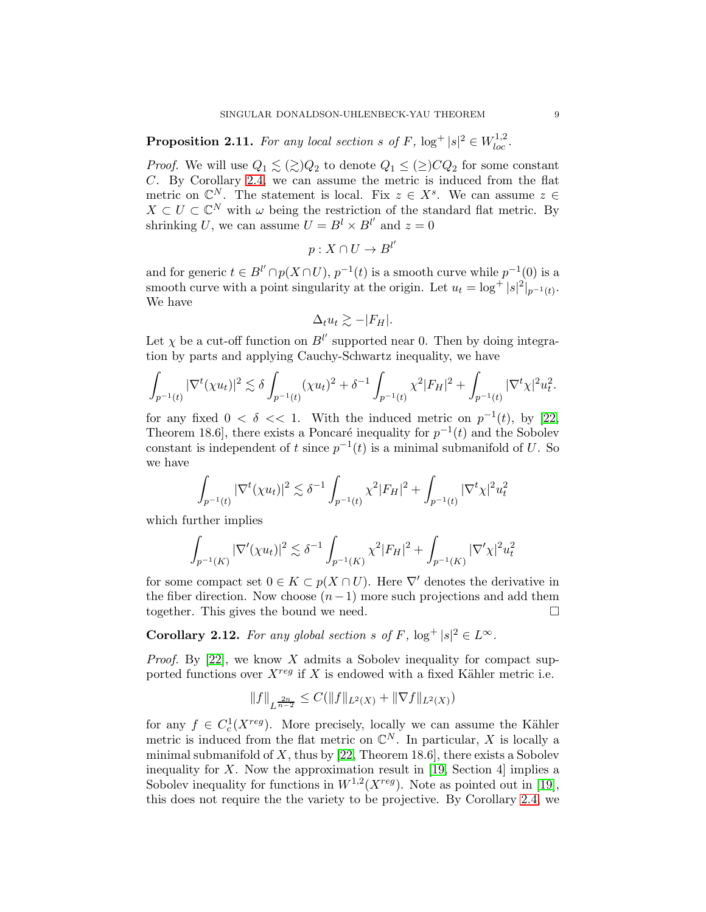**Proposition 2.11.** For any local section s of F,  $log^+ |s|^2 \in W_{loc}^{1,2}$ .

*Proof.* We will use  $Q_1 \leq (\geq)Q_2$  to denote  $Q_1 \leq (\geq)CQ_2$  for some constant C. By Corollary [2.4,](#page-5-3) we can assume the metric is induced from the flat metric on  $\mathbb{C}^N$ . The statement is local. Fix  $z \in X^s$ . We can assume  $z \in \mathbb{C}$  $X \subset U \subset \mathbb{C}^N$  with  $\omega$  being the restriction of the standard flat metric. By shrinking U, we can assume  $U = B^l \times B^{l'}$  and  $z = 0$ 

$$
p:X\cap U\to B^{l'}
$$

and for generic  $t \in B^{l'} \cap p(X \cap U)$ ,  $p^{-1}(t)$  is a smooth curve while  $p^{-1}(0)$  is a smooth curve with a point singularity at the origin. Let  $u_t = \log^+ |s|^2|_{p^{-1}(t)}$ . We have

$$
\Delta_t u_t \gtrsim -|F_H|.
$$

Let  $\chi$  be a cut-off function on  $B^{l'}$  supported near 0. Then by doing integration by parts and applying Cauchy-Schwartz inequality, we have

$$
\int_{p^{-1}(t)} |\nabla^t(\chi u_t)|^2 \lesssim \delta \int_{p^{-1}(t)} (\chi u_t)^2 + \delta^{-1} \int_{p^{-1}(t)} \chi^2 |F_H|^2 + \int_{p^{-1}(t)} |\nabla^t \chi|^2 u_t^2.
$$

for any fixed  $0 < \delta < 1$ . With the induced metric on  $p^{-1}(t)$ , by [\[22,](#page-17-6) Theorem 18.6, there exists a Poncaré inequality for  $p^{-1}(t)$  and the Sobolev constant is independent of t since  $p^{-1}(t)$  is a minimal submanifold of U. So we have

$$
\int_{p^{-1}(t)} |\nabla^t(\chi u_t)|^2 \lesssim \delta^{-1} \int_{p^{-1}(t)} \chi^2 |F_H|^2 + \int_{p^{-1}(t)} |\nabla^t \chi|^2 u_t^2
$$

which further implies

$$
\int_{p^{-1}(K)} |\nabla'(\chi u_t)|^2 \lesssim \delta^{-1} \int_{p^{-1}(K)} \chi^2 |F_H|^2 + \int_{p^{-1}(K)} |\nabla' \chi|^2 u_t^2
$$

for some compact set  $0 \in K \subset p(X \cap U)$ . Here  $\nabla'$  denotes the derivative in the fiber direction. Now choose  $(n-1)$  more such projections and add them together. This gives the bound we need. together. This gives the bound we need.

<span id="page-8-0"></span>**Corollary 2.12.** For any global section s of F,  $log^+ |s|^2 \in L^{\infty}$ .

*Proof.* By [\[22\]](#page-17-6), we know X admits a Sobolev inequality for compact supported functions over  $X^{reg}$  if X is endowed with a fixed Kähler metric i.e.

$$
||f||_{L^{\frac{2n}{n-2}}} \leq C(||f||_{L^2(X)} + ||\nabla f||_{L^2(X)})
$$

for any  $f \in C_c^1(X^{reg})$ . More precisely, locally we can assume the Kähler metric is induced from the flat metric on  $\mathbb{C}^N$ . In particular, X is locally a minimal submanifold of  $X$ , thus by [\[22,](#page-17-6) Theorem 18.6], there exists a Sobolev inequality for X. Now the approximation result in [\[19,](#page-16-15) Section 4] implies a Sobolev inequality for functions in  $W^{1,2}(X^{reg})$ . Note as pointed out in [\[19\]](#page-16-15), this does not require the the variety to be projective. By Corollary [2.4,](#page-5-3) we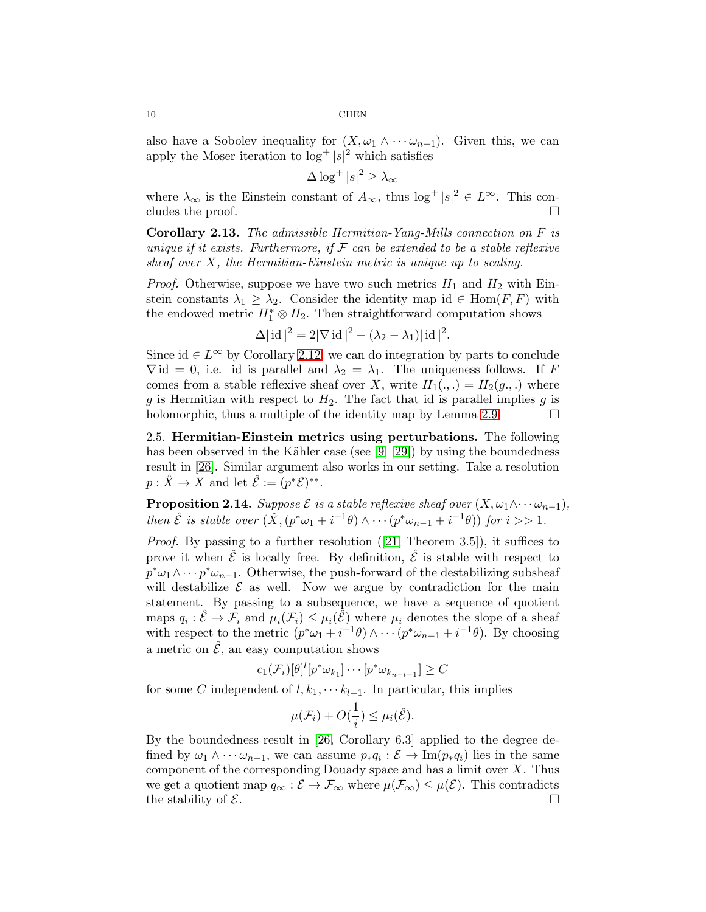also have a Sobolev inequality for  $(X, \omega_1 \wedge \cdots \omega_{n-1})$ . Given this, we can apply the Moser iteration to  $\log^+ |s|^2$  which satisfies

$$
\Delta \log^+ |s|^2 \ge \lambda_\infty
$$

where  $\lambda_{\infty}$  is the Einstein constant of  $A_{\infty}$ , thus  $\log^+ |s|^2 \in L^{\infty}$ . This concludes the proof.  $\Box$ 

<span id="page-9-0"></span>Corollary 2.13. The admissible Hermitian-Yang-Mills connection on F is unique if it exists. Furthermore, if  $\mathcal F$  can be extended to be a stable reflexive sheaf over  $X$ , the Hermitian-Einstein metric is unique up to scaling.

*Proof.* Otherwise, suppose we have two such metrics  $H_1$  and  $H_2$  with Einstein constants  $\lambda_1 \geq \lambda_2$ . Consider the identity map id  $\in$  Hom $(F, F)$  with the endowed metric  $H_1^* \otimes H_2$ . Then straightforward computation shows

$$
\Delta |\operatorname{id}|^2 = 2|\nabla \operatorname{id}|^2 - (\lambda_2 - \lambda_1)|\operatorname{id}|^2.
$$

Since id  $\in L^{\infty}$  by Corollary [2.12,](#page-8-0) we can do integration by parts to conclude  $\nabla$  id = 0, i.e. id is parallel and  $\lambda_2 = \lambda_1$ . The uniqueness follows. If F comes from a stable reflexive sheaf over X, write  $H_1(.,.) = H_2(g,.)$  where g is Hermitian with respect to  $H_2$ . The fact that id is parallel implies g is holomorphic, thus a multiple of the identity map by Lemma [2.9.](#page-7-1)  $\Box$ 

2.5. Hermitian-Einstein metrics using perturbations. The following has been observed in the Kähler case (see [\[9\]](#page-16-11) [\[29\]](#page-17-4)) by using the boundedness result in [\[26\]](#page-17-5). Similar argument also works in our setting. Take a resolution  $p: \hat{X} \to X$  and let  $\hat{\mathcal{E}} := (p^*\mathcal{E})^{**}$ .

**Proposition 2.14.** Suppose  $\mathcal E$  is a stable reflexive sheaf over  $(X, \omega_1 \wedge \cdots \omega_{n-1})$ , then  $\hat{\mathcal{E}}$  is stable over  $(\hat{X}, (p^*\omega_1+i^{-1}\theta) \wedge \cdots (p^*\omega_{n-1}+i^{-1}\theta))$  for  $i >> 1$ .

Proof. By passing to a further resolution ([\[21,](#page-17-9) Theorem 3.5]), it suffices to prove it when  $\hat{\mathcal{E}}$  is locally free. By definition,  $\hat{\mathcal{E}}$  is stable with respect to  $p^*\omega_1 \wedge \cdots p^*\omega_{n-1}$ . Otherwise, the push-forward of the destabilizing subsheaf will destabilize  $\mathcal E$  as well. Now we argue by contradiction for the main statement. By passing to a subsequence, we have a sequence of quotient maps  $q_i: \hat{\mathcal{E}} \to \mathcal{F}_i$  and  $\mu_i(\mathcal{F}_i) \leq \mu_i(\hat{\mathcal{E}})$  where  $\mu_i$  denotes the slope of a sheaf with respect to the metric  $(p^*\omega_1+i^{-1}\theta)\wedge \cdots (p^*\omega_{n-1}+i^{-1}\theta)$ . By choosing a metric on  $\hat{\mathcal{E}}$ , an easy computation shows

$$
c_1(\mathcal{F}_i)[\theta]^l[p^*\omega_{k_1}]\cdots[p^*\omega_{k_{n-l-1}}]\geq C
$$

for some C independent of  $l, k_1, \cdots k_{l-1}$ . In particular, this implies

$$
\mu(\mathcal{F}_i) + O(\frac{1}{i}) \leq \mu_i(\hat{\mathcal{E}}).
$$

By the boundedness result in [\[26,](#page-17-5) Corollary 6.3] applied to the degree defined by  $\omega_1 \wedge \cdots \omega_{n-1}$ , we can assume  $p_* q_i : \mathcal{E} \to \text{Im}(p_* q_i)$  lies in the same component of the corresponding Douady space and has a limit over  $X$ . Thus we get a quotient map  $q_{\infty}: \mathcal{E} \to \mathcal{F}_{\infty}$  where  $\mu(\mathcal{F}_{\infty}) \leq \mu(\mathcal{E})$ . This contradicts the stability of  $\mathcal{E}$ . the stability of  $\mathcal{E}$ .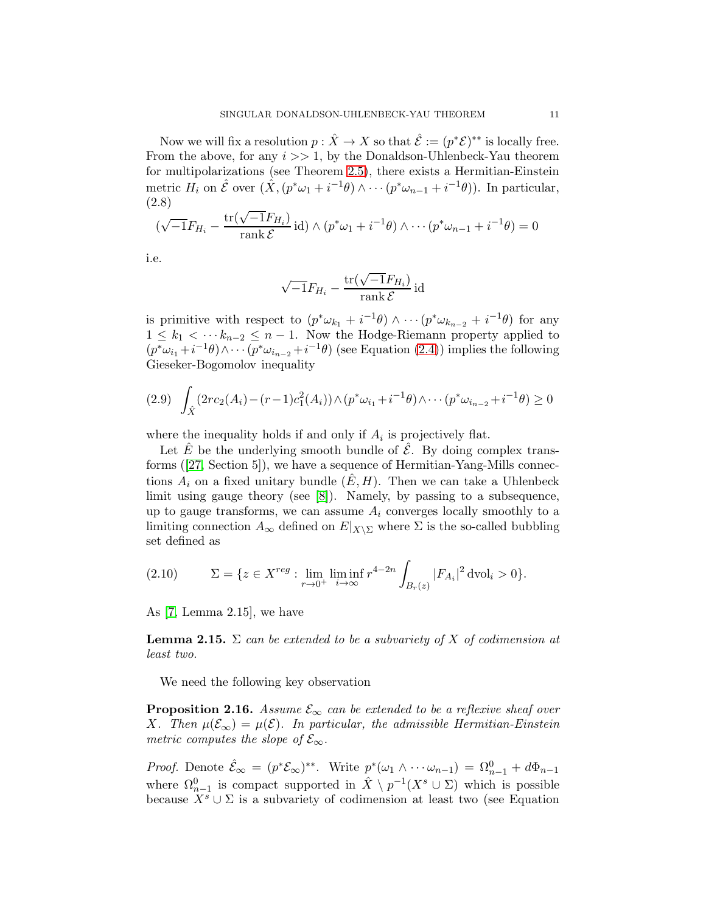Now we will fix a resolution  $p : \hat{X} \to X$  so that  $\hat{\mathcal{E}} := (p^*\mathcal{E})^{**}$  is locally free. From the above, for any  $i \gg 1$ , by the Donaldson-Uhlenbeck-Yau theorem for multipolarizations (see Theorem [2.5\)](#page-5-4), there exists a Hermitian-Einstein metric  $H_i$  on  $\hat{\mathcal{E}}$  over  $(\hat{X}, (p^*\omega_1+i^{-1}\theta) \wedge \cdots (p^*\omega_{n-1}+i^{-1}\theta))$ . In particular, (2.8)

$$
(\sqrt{-1}F_{H_i} - \frac{\text{tr}(\sqrt{-1}F_{H_i})}{\text{rank }\mathcal{E}}\,\text{id}) \wedge (p^*\omega_1 + i^{-1}\theta) \wedge \cdots (p^*\omega_{n-1} + i^{-1}\theta) = 0
$$

i.e.

$$
\sqrt{-1}F_{H_i} - \frac{\text{tr}(\sqrt{-1}F_{H_i})}{\text{rank }\mathcal{E}}\,\text{id}
$$

is primitive with respect to  $(p^*\omega_{k_1} + i^{-1}\theta) \wedge \cdots (p^*\omega_{k_{n-2}} + i^{-1}\theta)$  for any  $1 \leq k_1 < \cdots k_{n-2} \leq n-1$ . Now the Hodge-Riemann property applied to  $(p^*\omega_{i_1}+i^{-1}\theta)\wedge\cdots(p^*\omega_{i_{n-2}}+i^{-1}\theta)$  (see Equation [\(2.4\)](#page-6-1)) implies the following Gieseker-Bogomolov inequality

$$
(2.9) \quad \int_{\hat{X}} (2rc_2(A_i) - (r-1)c_1^2(A_i)) \wedge (p^*\omega_{i_1} + i^{-1}\theta) \wedge \cdots (p^*\omega_{i_{n-2}} + i^{-1}\theta) \ge 0
$$

where the inequality holds if and only if  $A_i$  is projectively flat.

Let  $\hat{E}$  be the underlying smooth bundle of  $\hat{\mathcal{E}}$ . By doing complex transforms ([\[27,](#page-17-0) Section 5]), we have a sequence of Hermitian-Yang-Mills connections  $A_i$  on a fixed unitary bundle  $(E, H)$ . Then we can take a Uhlenbeck limit using gauge theory (see [\[8\]](#page-16-14)). Namely, by passing to a subsequence, up to gauge transforms, we can assume  $A_i$  converges locally smoothly to a limiting connection  $A_{\infty}$  defined on  $E|_{X\setminus\Sigma}$  where  $\Sigma$  is the so-called bubbling set defined as

(2.10) 
$$
\Sigma = \{ z \in X^{reg} : \lim_{r \to 0^+} \liminf_{i \to \infty} r^{4-2n} \int_{B_r(z)} |F_{A_i}|^2 dvol_i > 0 \}.
$$

As [\[7,](#page-16-10) Lemma 2.15], we have

**Lemma 2.15.**  $\Sigma$  can be extended to be a subvariety of X of codimension at least two.

We need the following key observation

<span id="page-10-0"></span>**Proposition 2.16.** Assume  $\mathcal{E}_{\infty}$  can be extended to be a reflexive sheaf over X. Then  $\mu(\mathcal{E}_{\infty}) = \mu(\mathcal{E})$ . In particular, the admissible Hermitian-Einstein metric computes the slope of  $\mathcal{E}_{\infty}$ .

*Proof.* Denote  $\hat{\mathcal{E}}_{\infty} = (p^* \mathcal{E}_{\infty})^{**}$ . Write  $p^* (\omega_1 \wedge \cdots \omega_{n-1}) = \Omega_{n-1}^0 + d\Phi_{n-1}$ where  $\Omega_{n-1}^0$  is compact supported in  $\hat{X} \setminus p^{-1}(X^s \cup \Sigma)$  which is possible because  $X^s \cup \Sigma$  is a subvariety of codimension at least two (see Equation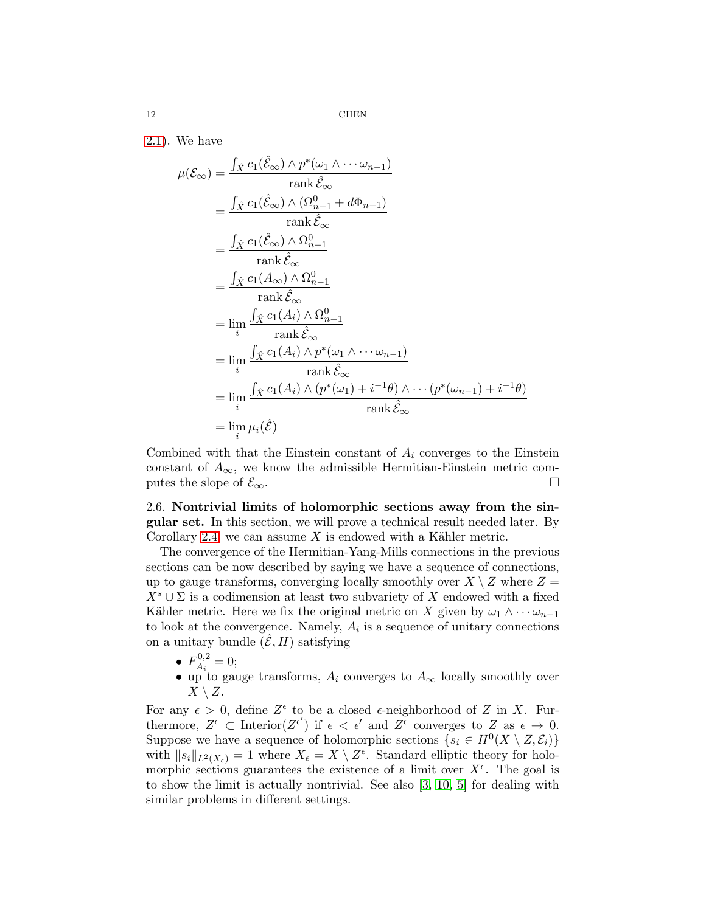[2.1\)](#page-5-1). We have

$$
\mu(\mathcal{E}_{\infty}) = \frac{\int_{\hat{X}} c_1(\hat{\mathcal{E}}_{\infty}) \wedge p^*(\omega_1 \wedge \cdots \omega_{n-1})}{\operatorname{rank} \hat{\mathcal{E}}_{\infty}}
$$
\n
$$
= \frac{\int_{\hat{X}} c_1(\hat{\mathcal{E}}_{\infty}) \wedge (\Omega_{n-1}^0 + d\Phi_{n-1})}{\operatorname{rank} \hat{\mathcal{E}}_{\infty}}
$$
\n
$$
= \frac{\int_{\hat{X}} c_1(\hat{\mathcal{E}}_{\infty}) \wedge \Omega_{n-1}^0}{\operatorname{rank} \hat{\mathcal{E}}_{\infty}}
$$
\n
$$
= \frac{\int_{\hat{X}} c_1(A_{\infty}) \wedge \Omega_{n-1}^0}{\operatorname{rank} \hat{\mathcal{E}}_{\infty}}
$$
\n
$$
= \lim_{i} \frac{\int_{\hat{X}} c_1(A_i) \wedge \Omega_{n-1}^0}{\operatorname{rank} \hat{\mathcal{E}}_{\infty}}
$$
\n
$$
= \lim_{i} \frac{\int_{\hat{X}} c_1(A_i) \wedge p^*(\omega_1 \wedge \cdots \omega_{n-1})}{\operatorname{rank} \hat{\mathcal{E}}_{\infty}}
$$
\n
$$
= \lim_{i} \frac{\int_{\hat{X}} c_1(A_i) \wedge (p^*(\omega_1) + i^{-1}\theta) \wedge \cdots (p^*(\omega_{n-1}) + i^{-1}\theta)}{\operatorname{rank} \hat{\mathcal{E}}_{\infty}}
$$
\n
$$
= \lim_{i} \mu_i(\hat{\mathcal{E}})
$$

Combined with that the Einstein constant of  $A_i$  converges to the Einstein constant of  $A_{\infty}$ , we know the admissible Hermitian-Einstein metric computes the slope of  $\mathcal{E}_{\infty}$ .

2.6. Nontrivial limits of holomorphic sections away from the singular set. In this section, we will prove a technical result needed later. By Corollary [2.4,](#page-5-3) we can assume  $X$  is endowed with a Kähler metric.

The convergence of the Hermitian-Yang-Mills connections in the previous sections can be now described by saying we have a sequence of connections, up to gauge transforms, converging locally smoothly over  $X \setminus Z$  where  $Z =$  $X<sup>s</sup> \cup \Sigma$  is a codimension at least two subvariety of X endowed with a fixed Kähler metric. Here we fix the original metric on X given by  $\omega_1 \wedge \cdots \omega_{n-1}$ to look at the convergence. Namely,  $A_i$  is a sequence of unitary connections on a unitary bundle  $(\mathcal{E}, H)$  satisfying

- $F_{A_i}^{0,2}$  $A_i^{0,2}=0;$
- up to gauge transforms,  $A_i$  converges to  $A_{\infty}$  locally smoothly over  $X \setminus Z$ .

For any  $\epsilon > 0$ , define  $Z^{\epsilon}$  to be a closed  $\epsilon$ -neighborhood of Z in X. Furthermore,  $Z^{\epsilon} \subset \text{Interior}(Z^{\epsilon'})$  if  $\epsilon < \epsilon'$  and  $Z^{\epsilon}$  converges to Z as  $\epsilon \to 0$ . Suppose we have a sequence of holomorphic sections  $\{s_i \in H^0(X \setminus Z, \mathcal{E}_i)\}\$ with  $||s_i||_{L^2(X_{\epsilon})} = 1$  where  $X_{\epsilon} = X \setminus Z^{\epsilon}$ . Standard elliptic theory for holomorphic sections guarantees the existence of a limit over  $X^{\epsilon}$ . The goal is to show the limit is actually nontrivial. See also [\[3,](#page-16-16) [10,](#page-16-17) [5\]](#page-16-18) for dealing with similar problems in different settings.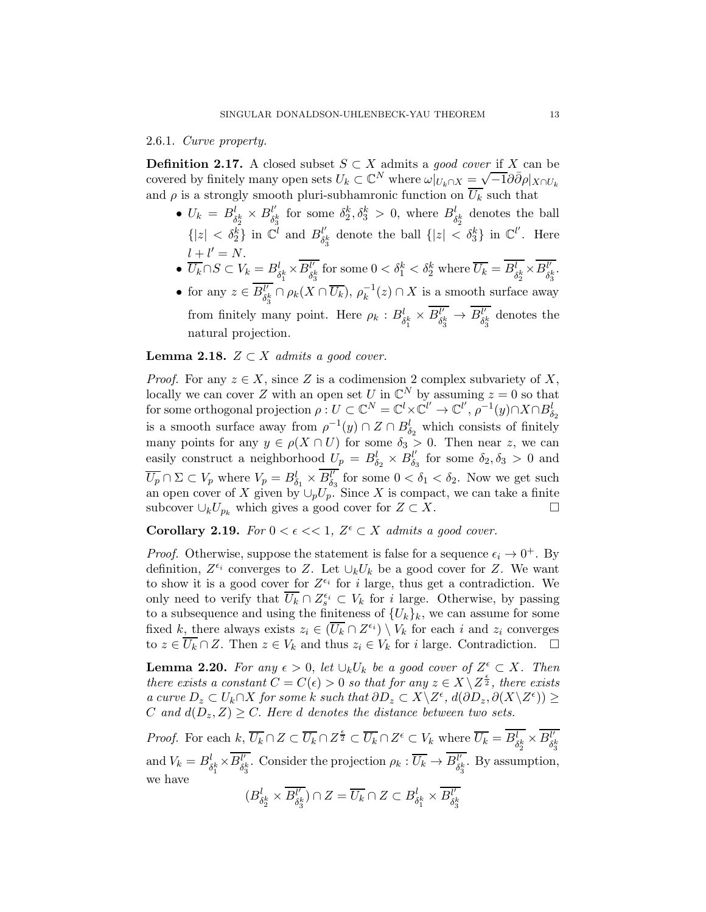### 2.6.1. Curve property.

**Definition 2.17.** A closed subset  $S \subset X$  admits a good cover if X can be  $\omega$  covered by finitely many open sets  $U_k \subset \mathbb{C}^N$  where  $\omega|_{U_k \cap X} = \sqrt{-1} \partial \overline{\partial} \rho|_{X \cap U_k}$ and  $\rho$  is a strongly smooth pluri-subhamronic function on  $\overline{U_k}$  such that

- $U_k = B_{\delta_2^k}^l \times B_{\delta_2^l}^{l'}$  $\{|z| < \delta_2^k\}$  in  $\mathbb{C}^l$  and  $B_{\delta_3^k}^{l'}$  denote the ball  $\{|z| < \delta_2^{l'}\}$  $\delta_1^k$  for some  $\delta_2^k, \delta_3^k > 0$ , where  $B_{\delta_2^k}^l$  denotes the ball  $\delta_3^k$  denote the ball  $\{|z| < \delta_3^k\}$  in  $\mathbb{C}^{l'}$ . Here  $l + l' = N$ .
- $\bullet$   $\overline{U_k} \cap S \subset V_k = B_{\delta^k_1}^l \times \overline{B_{\delta^k_2}^{l'}}$  $\overline{l'_k}$  for some  $0 < \delta_1^k < \delta_2^k$  where  $\overline{U_k} = \overline{B_{\delta_2^k}} \times \overline{B_{\delta_1^k}}'$  $\frac{l'}{\delta_3^k}.$
- for any  $z \in \overline{B_{\delta_i}^{l'}}$  $\ell'_{\delta_3^k} \cap \rho_k(X \cap \overline{U_k})$ ,  $\rho_k^{-1}(z) \cap X$  is a smooth surface away from finitely many point. Here  $\rho_k : B_{\delta_1^k}^l \times \overline{B_{\delta_1^l}^{l'}}$  $\overline{\frac{\delta^k}{\delta^k_3}}\rightarrow \overline{B^l_{\delta^k_3}}$  $\delta_3^{\mu}$  denotes the natural projection.

## **Lemma 2.18.**  $Z \subset X$  admits a good cover.

*Proof.* For any  $z \in X$ , since Z is a codimension 2 complex subvariety of X, locally we can cover Z with an open set U in  $\mathbb{C}^N$  by assuming  $z = 0$  so that for some orthogonal projection  $\rho: U \subset \mathbb{C}^N = \mathbb{C}^l \times \mathbb{C}^{l'} \to \mathbb{C}^l', \rho^{-1}(y) \cap X \cap B^l_{\delta_2}$ is a smooth surface away from  $\rho^{-1}(y) \cap Z \cap B^l_{\delta_2}$  which consists of finitely many points for any  $y \in \rho(X \cap U)$  for some  $\delta_3 > 0$ . Then near z, we can easily construct a neighborhood  $U_p = B_{\delta_2}^l \times B_{\delta_2}^{l'}$  $\delta_3$  for some  $\delta_2, \delta_3 > 0$  and  $\overline{U_p} \cap \Sigma \subset V_p$  where  $V_p = B_{\delta_1}^l \times \overline{B_{\delta_2}^{l'}}$  $\delta_3^{l'}$  for some  $0 < \delta_1 < \delta_2$ . Now we get such an open cover of X given by  $\cup_p U_p$ . Since X is compact, we can take a finite subcover  $\cup_k U_{p_k}$  which gives a good cover for  $Z \subset X$ .  $□$ 

**Corollary 2.19.** For  $0 < \epsilon \ll 1$ ,  $Z^{\epsilon} \subset X$  admits a good cover.

*Proof.* Otherwise, suppose the statement is false for a sequence  $\epsilon_i \to 0^+$ . By definition,  $Z^{\epsilon_i}$  converges to Z. Let  $\cup_k U_k$  be a good cover for Z. We want to show it is a good cover for  $Z^{\epsilon_i}$  for i large, thus get a contradiction. We only need to verify that  $\overline{U_k} \cap Z_s^{\epsilon_i} \subset V_k$  for *i* large. Otherwise, by passing to a subsequence and using the finiteness of  ${U_k}_k$ , we can assume for some fixed k, there always exists  $z_i \in (\overline{U_k} \cap Z^{\epsilon_i}) \setminus V_k$  for each i and  $z_i$  converges to  $z \in \overline{U_k} \cap Z$ . Then  $z \in V_k$  and thus  $z_i \in V_k$  for i large. Contradiction.  $\Box$ 

<span id="page-12-0"></span>**Lemma 2.20.** For any  $\epsilon > 0$ , let  $\cup_k U_k$  be a good cover of  $Z^{\epsilon} \subset X$ . Then there exists a constant  $C = C(\epsilon) > 0$  so that for any  $z \in X \setminus Z^{\frac{\epsilon}{2}}$ , there exists  $a \text{ curve } D_z \subset U_k \cap X \text{ for some } k \text{ such that } \partial D_z \subset X \setminus Z^{\epsilon}, d(\partial D_z, \partial (X \setminus Z^{\epsilon})) \geq$ C and  $d(D_z, Z) \geq C$ . Here d denotes the distance between two sets.

*Proof.* For each  $k, \overline{U_k} \cap Z \subset \overline{U_k} \cap Z^{\frac{\epsilon}{2}} \subset \overline{U_k} \cap Z^{\epsilon} \subset V_k$  where  $\overline{U_k} = \overline{B_{\delta_2^k}^l} \times \overline{B_{\delta_2^k}^{l'}}$  $\delta^k_3$ and  $V_k = B_{\delta_1^k}^l \times \overline{B_{\delta_2^l}^{l'}}$  $\overline{\frac{b}{b_3^k}}$ . Consider the projection  $\rho_k: \overline{U_k} \to \overline{B_{\delta_1^k}}$  $\delta_3^k$ . By assumption, we have

$$
(B_{\delta_2^k}^l\times \overline{B_{\delta_3^k}^{l'}})\cap Z=\overline{U_k}\cap Z\subset B_{\delta_1^k}^l\times \overline{B_{\delta_3^k}^{l'}}
$$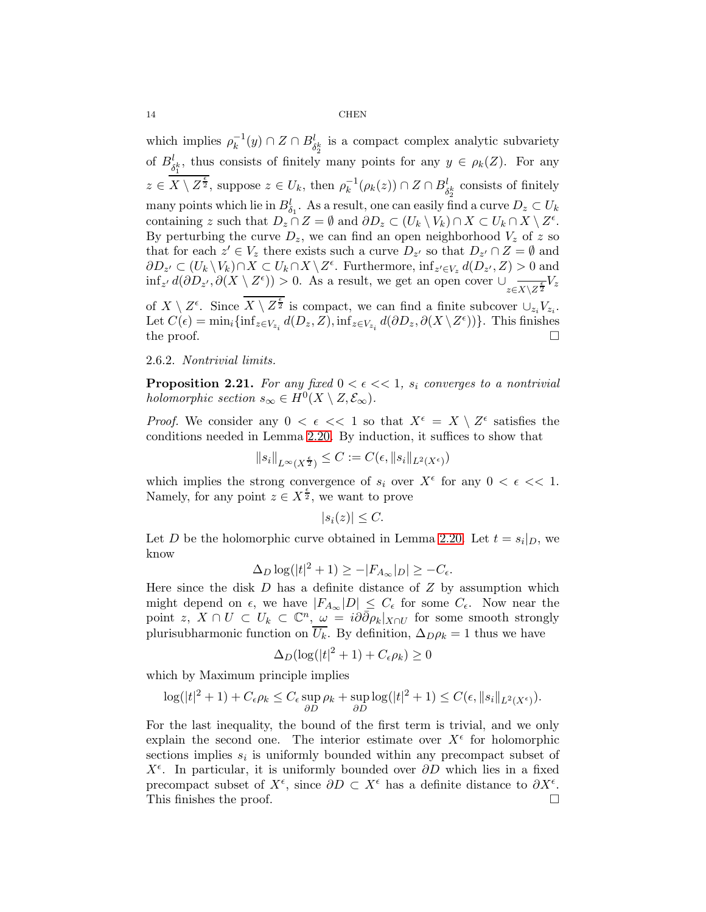which implies  $\rho_k^{-1}(y) \cap Z \cap B_{\delta_2^k}^l$  is a compact complex analytic subvariety of  $B_{\delta_1^k}^l$ , thus consists of finitely many points for any  $y \in \rho_k(Z)$ . For any  $z \in \overline{X \setminus Z^{\frac{\epsilon}{2}}}$ , suppose  $z \in U_k$ , then  $\rho_k^{-1}(\rho_k(z)) \cap Z \cap B_{\delta_2^k}^l$  consists of finitely many points which lie in  $B_{\delta_1}^l$ . As a result, one can easily find a curve  $D_z \subset U_k$ containing z such that  $D_z \cap Z = \emptyset$  and  $\partial D_z \subset (U_k \setminus V_k) \cap X \subset U_k \cap X \setminus Z^{\epsilon}$ . By perturbing the curve  $D_z$ , we can find an open neighborhood  $V_z$  of z so that for each  $z' \in V_z$  there exists such a curve  $D_{z'}$  so that  $D_{z'} \cap Z = \emptyset$  and  $\partial D_{z'} \subset (U_k \setminus V_k) \cap X \subset U_k \cap X \setminus Z^{\epsilon}$ . Furthermore,  $\inf_{z' \in V_z} d(D_{z'}, Z) > 0$  and  $\inf_{z'} d(\partial D_{z'}, \partial (X \setminus Z^{\epsilon})) > 0$ . As a result, we get an open cover  $\cup_{z \in X \setminus Z^{\frac{\epsilon}{2}}} V_z$ of  $X \setminus Z^{\epsilon}$ . Since  $\overline{X \setminus Z^{\epsilon}}$  is compact, we can find a finite subcover  $\cup_{z_i} V_{z_i}$ .

Let  $C(\epsilon) = \min_i \{ \inf_{z \in V_{z_i}} d(D_z, Z), \inf_{z \in V_{z_i}} d(\partial D_z, \partial (X \setminus Z^{\epsilon})) \}$ . This finishes the proof.  $\Box$ 

## 2.6.2. Nontrivial limits.

<span id="page-13-0"></span>**Proposition 2.21.** For any fixed  $0 < \epsilon \ll 1$ ,  $s_i$  converges to a nontrivial holomorphic section  $s_{\infty} \in H^0(X \setminus Z, \mathcal{E}_{\infty})$ .

*Proof.* We consider any  $0 < \epsilon \ll 1$  so that  $X^{\epsilon} = X \setminus Z^{\epsilon}$  satisfies the conditions needed in Lemma [2.20.](#page-12-0) By induction, it suffices to show that

$$
||s_i||_{L^{\infty}(X^{\frac{\epsilon}{2}})} \leq C := C(\epsilon, ||s_i||_{L^2(X^{\epsilon})})
$$

which implies the strong convergence of  $s_i$  over  $X^{\epsilon}$  for any  $0 < \epsilon \ll 1$ . Namely, for any point  $z \in X^{\frac{\epsilon}{2}}$ , we want to prove

$$
|s_i(z)| \leq C.
$$

Let D be the holomorphic curve obtained in Lemma [2.20.](#page-12-0) Let  $t = s_i|_D$ , we know

$$
\Delta_D \log(|t|^2 + 1) \ge -|F_{A_\infty}|_D| \ge -C_\epsilon.
$$

Here since the disk  $D$  has a definite distance of  $Z$  by assumption which might depend on  $\epsilon$ , we have  $|F_{A_{\infty}}|D| \leq C_{\epsilon}$  for some  $C_{\epsilon}$ . Now near the point z,  $X \cap U \subset U_k \subset \mathbb{C}^n$ ,  $\omega = i \partial \overline{\partial} \rho_k |_{X \cap U}$  for some smooth strongly plurisubharmonic function on  $\overline{U_k}$ . By definition,  $\Delta_D \rho_k = 1$  thus we have

$$
\Delta_D(\log(|t|^2+1) + C_{\epsilon}\rho_k) \ge 0
$$

which by Maximum principle implies

$$
\log(|t|^2+1)+C_{\epsilon}\rho_k\leq C_{\epsilon}\sup_{\partial D}\rho_k+\sup_{\partial D}\log(|t|^2+1)\leq C(\epsilon,\|s_i\|_{L^2(X^{\epsilon})}).
$$

For the last inequality, the bound of the first term is trivial, and we only explain the second one. The interior estimate over  $X^{\epsilon}$  for holomorphic sections implies  $s_i$  is uniformly bounded within any precompact subset of  $X^{\epsilon}$ . In particular, it is uniformly bounded over  $\partial D$  which lies in a fixed precompact subset of  $X^{\epsilon}$ , since  $\partial D \subset X^{\epsilon}$  has a definite distance to  $\partial X^{\epsilon}$ . This finishes the proof.  $\Box$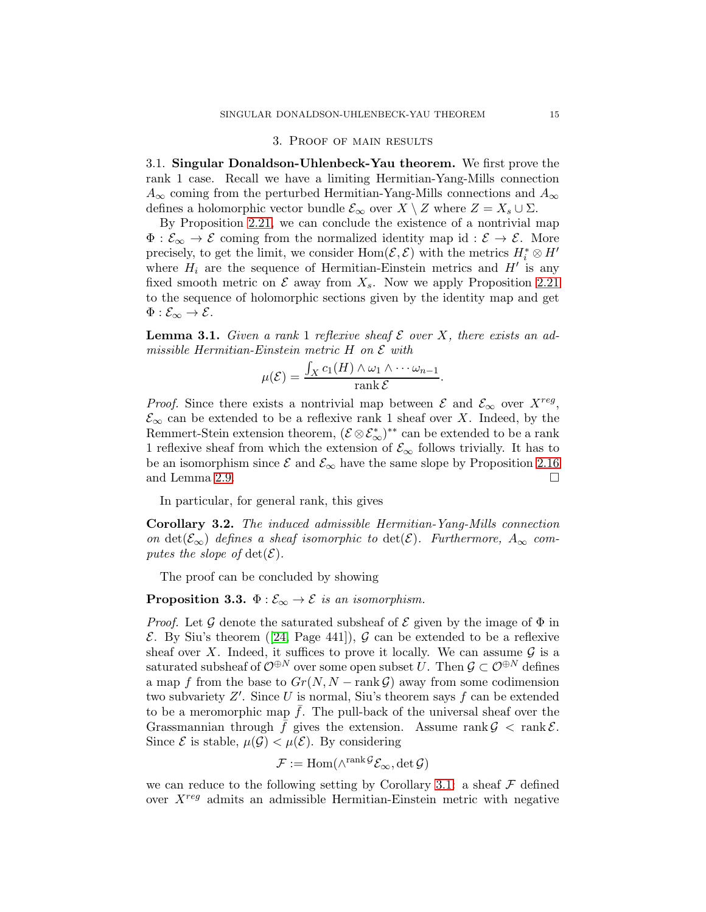#### 3. Proof of main results

3.1. Singular Donaldson-Uhlenbeck-Yau theorem. We first prove the rank 1 case. Recall we have a limiting Hermitian-Yang-Mills connection  $A_{\infty}$  coming from the perturbed Hermitian-Yang-Mills connections and  $A_{\infty}$ defines a holomorphic vector bundle  $\mathcal{E}_{\infty}$  over  $X \setminus Z$  where  $Z = X_s \cup \Sigma$ .

By Proposition [2.21,](#page-13-0) we can conclude the existence of a nontrivial map  $\Phi : \mathcal{E}_{\infty} \to \mathcal{E}$  coming from the normalized identity map id :  $\mathcal{E} \to \mathcal{E}$ . More precisely, to get the limit, we consider Hom $(\mathcal{E}, \mathcal{E})$  with the metrics  $H_i^* \otimes H'$ where  $H_i$  are the sequence of Hermitian-Einstein metrics and  $H'$  is any fixed smooth metric on  $\mathcal E$  away from  $X_s$ . Now we apply Proposition [2.21](#page-13-0) to the sequence of holomorphic sections given by the identity map and get  $\Phi: \mathcal{E}_{\infty} \to \mathcal{E}.$ 

<span id="page-14-0"></span>**Lemma 3.1.** Given a rank 1 reflexive sheaf  $\mathcal E$  over X, there exists an admissible Hermitian-Einstein metric H on  $\mathcal E$  with

$$
\mu(\mathcal{E}) = \frac{\int_X c_1(H) \wedge \omega_1 \wedge \cdots \omega_{n-1}}{\operatorname{rank} \mathcal{E}}.
$$

*Proof.* Since there exists a nontrivial map between  $\mathcal{E}$  and  $\mathcal{E}_{\infty}$  over  $X^{reg}$ ,  $\mathcal{E}_{\infty}$  can be extended to be a reflexive rank 1 sheaf over X. Indeed, by the Remmert-Stein extension theorem,  $(\mathcal{E} \otimes \mathcal{E}_{\infty}^*)^{**}$  can be extended to be a rank 1 reflexive sheaf from which the extension of  $\mathcal{E}_{\infty}$  follows trivially. It has to be an isomorphism since  $\mathcal{E}$  and  $\mathcal{E}_{\infty}$  have the same slope by Proposition [2.16](#page-10-0) and Lemma 2.9. and Lemma [2.9.](#page-7-1)

In particular, for general rank, this gives

<span id="page-14-1"></span>Corollary 3.2. The induced admissible Hermitian-Yang-Mills connection on det( $\mathcal{E}_{\infty}$ ) defines a sheaf isomorphic to det( $\mathcal{E}$ ). Furthermore,  $A_{\infty}$  computes the slope of  $\det(\mathcal{E})$ .

The proof can be concluded by showing

## **Proposition 3.3.**  $\Phi : \mathcal{E}_{\infty} \to \mathcal{E}$  is an isomorphism.

*Proof.* Let G denote the saturated subsheaf of  $\mathcal E$  given by the image of  $\Phi$  in  $\mathcal{E}$ . By Siu's theorem ([\[24,](#page-17-7) Page 441]),  $\mathcal{G}$  can be extended to be a reflexive sheaf over X. Indeed, it suffices to prove it locally. We can assume  $\mathcal G$  is a saturated subsheaf of  $\mathcal{O}^{\oplus N}$  over some open subset U. Then  $\mathcal{G} \subset \mathcal{O}^{\oplus N}$  defines a map f from the base to  $Gr(N, N - \text{rank }\mathcal{G})$  away from some codimension two subvariety  $Z'$ . Since U is normal, Siu's theorem says  $f$  can be extended to be a meromorphic map  $f$ . The pull-back of the universal sheaf over the Grassmannian through f gives the extension. Assume rank  $\mathcal{G} < \text{rank } \mathcal{E}$ . Since  $\mathcal E$  is stable,  $\mu(\mathcal G) < \mu(\mathcal E)$ . By considering

$$
\mathcal{F} := \mathrm{Hom}(\wedge^{\mathrm{rank}\, \mathcal{G}} \mathcal{E}_{\infty}, \det \mathcal{G})
$$

we can reduce to the following setting by Corollary [3.1:](#page-14-0) a sheaf  $\mathcal F$  defined over  $X^{reg}$  admits an admissible Hermitian-Einstein metric with negative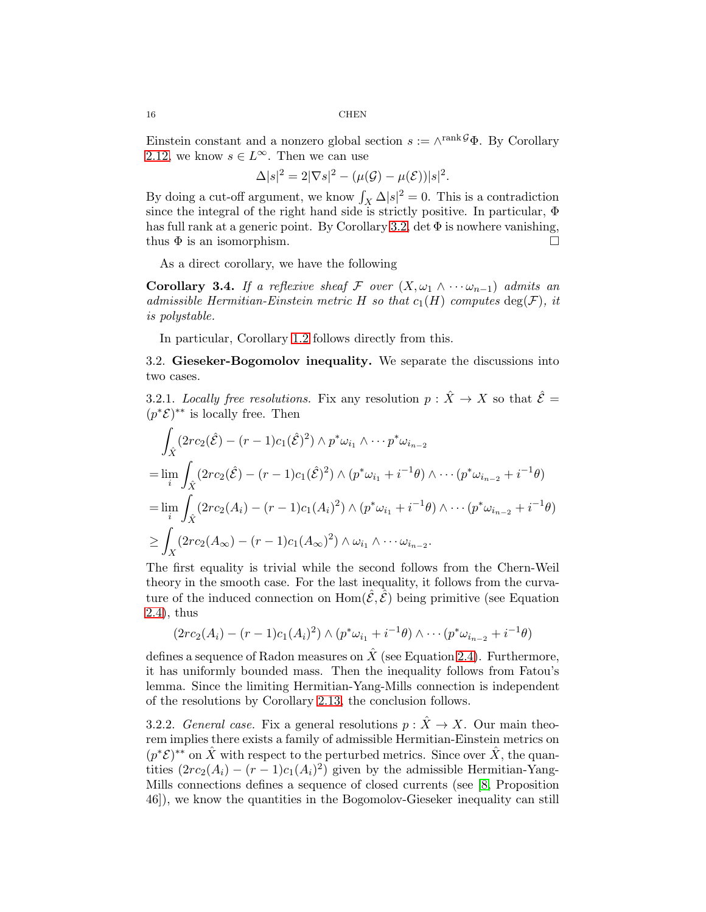Einstein constant and a nonzero global section  $s := \wedge^{\text{rank}\mathcal{G}} \Phi$ . By Corollary [2.12,](#page-8-0) we know  $s \in L^{\infty}$ . Then we can use

$$
\Delta|s|^2 = 2|\nabla s|^2 - (\mu(\mathcal{G}) - \mu(\mathcal{E}))|s|^2.
$$

By doing a cut-off argument, we know  $\int_X \Delta |s|^2 = 0$ . This is a contradiction since the integral of the right hand side is strictly positive. In particular, Φ has full rank at a generic point. By Corollary [3.2,](#page-14-1) det  $\Phi$  is nowhere vanishing, thus  $\Phi$  is an isomorphism.

As a direct corollary, we have the following

Corollary 3.4. If a reflexive sheaf F over  $(X, \omega_1 \wedge \cdots \omega_{n-1})$  admits an admissible Hermitian-Einstein metric H so that  $c_1(H)$  computes  $deg(\mathcal{F})$ , it is polystable.

In particular, Corollary [1.2](#page-1-0) follows directly from this.

3.2. Gieseker-Bogomolov inequality. We separate the discussions into two cases.

3.2.1. Locally free resolutions. Fix any resolution  $p : \hat{X} \to X$  so that  $\hat{\mathcal{E}} =$  $(p^*\mathcal{E})^{**}$  is locally free. Then

$$
\int_{\hat{X}} (2rc_2(\hat{\mathcal{E}}) - (r-1)c_1(\hat{\mathcal{E}})^2) \wedge p^* \omega_{i_1} \wedge \cdots p^* \omega_{i_{n-2}} \n= \lim_{i} \int_{\hat{X}} (2rc_2(\hat{\mathcal{E}}) - (r-1)c_1(\hat{\mathcal{E}})^2) \wedge (p^* \omega_{i_1} + i^{-1}\theta) \wedge \cdots (p^* \omega_{i_{n-2}} + i^{-1}\theta) \n= \lim_{i} \int_{\hat{X}} (2rc_2(A_i) - (r-1)c_1(A_i)^2) \wedge (p^* \omega_{i_1} + i^{-1}\theta) \wedge \cdots (p^* \omega_{i_{n-2}} + i^{-1}\theta) \n\geq \int_{X} (2rc_2(A_{\infty}) - (r-1)c_1(A_{\infty})^2) \wedge \omega_{i_1} \wedge \cdots \omega_{i_{n-2}}.
$$

The first equality is trivial while the second follows from the Chern-Weil theory in the smooth case. For the last inequality, it follows from the curvature of the induced connection on  $\text{Hom}(\hat{\mathcal{E}}, \hat{\mathcal{E}})$  being primitive (see Equation [2.4\)](#page-6-1), thus

$$
(2rc_2(A_i)-(r-1)c_1(A_i)^2) \wedge (p^*\omega_{i_1}+i^{-1}\theta) \wedge \cdots (p^*\omega_{i_{n-2}}+i^{-1}\theta)
$$

defines a sequence of Radon measures on  $\hat{X}$  (see Equation [2.4\)](#page-6-1). Furthermore, it has uniformly bounded mass. Then the inequality follows from Fatou's lemma. Since the limiting Hermitian-Yang-Mills connection is independent of the resolutions by Corollary [2.13,](#page-9-0) the conclusion follows.

3.2.2. General case. Fix a general resolutions  $p : \hat{X} \to X$ . Our main theorem implies there exists a family of admissible Hermitian-Einstein metrics on  $(p^*\mathcal{E})^{**}$  on  $\hat{X}$  with respect to the perturbed metrics. Since over  $\hat{X}$ , the quantities  $(2rc_2(A_i) - (r-1)c_1(A_i)^2)$  given by the admissible Hermitian-Yang-Mills connections defines a sequence of closed currents (see [\[8,](#page-16-14) Proposition 46]), we know the quantities in the Bogomolov-Gieseker inequality can still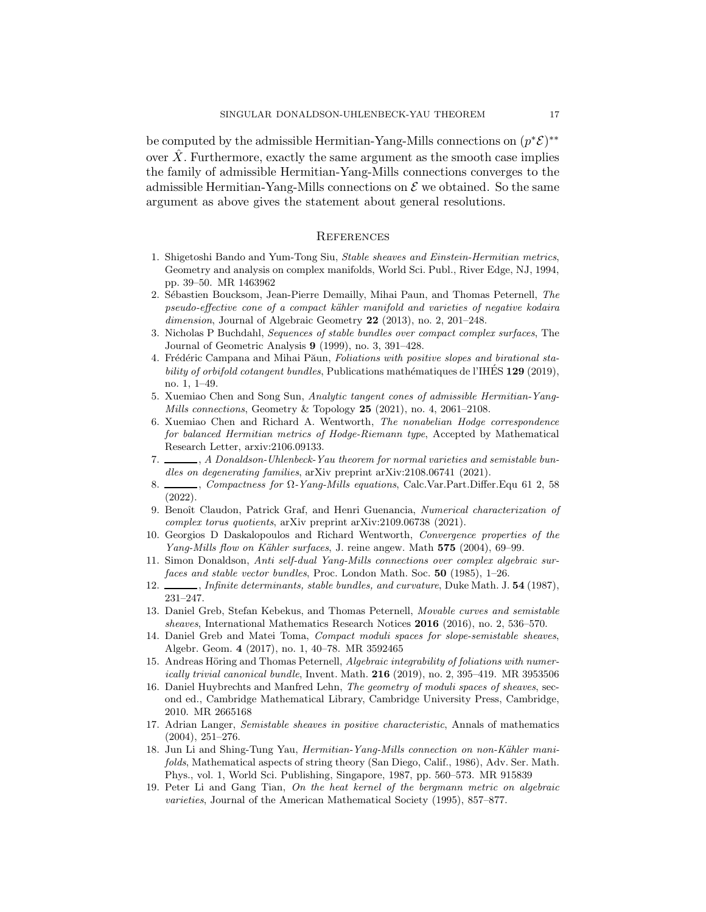be computed by the admissible Hermitian-Yang-Mills connections on  $(p^*\mathcal{E})^{**}$ over  $X$ . Furthermore, exactly the same argument as the smooth case implies the family of admissible Hermitian-Yang-Mills connections converges to the admissible Hermitian-Yang-Mills connections on  $\mathcal E$  we obtained. So the same argument as above gives the statement about general resolutions.

### **REFERENCES**

- <span id="page-16-2"></span>1. Shigetoshi Bando and Yum-Tong Siu, Stable sheaves and Einstein-Hermitian metrics, Geometry and analysis on complex manifolds, World Sci. Publ., River Edge, NJ, 1994, pp. 39–50. MR 1463962
- <span id="page-16-6"></span>2. Sébastien Boucksom, Jean-Pierre Demailly, Mihai Paun, and Thomas Peternell, The pseudo-effective cone of a compact kähler manifold and varieties of negative kodaira dimension, Journal of Algebraic Geometry 22 (2013), no. 2, 201-248.
- <span id="page-16-16"></span>3. Nicholas P Buchdahl, Sequences of stable bundles over compact complex surfaces, The Journal of Geometric Analysis 9 (1999), no. 3, 391–428.
- <span id="page-16-9"></span>4. Frédéric Campana and Mihai Păun, Foliations with positive slopes and birational stability of orbifold cotangent bundles, Publications mathématiques de l'IHES  $129$  (2019), no. 1, 1–49.
- <span id="page-16-18"></span>5. Xuemiao Chen and Song Sun, Analytic tangent cones of admissible Hermitian-Yang-Mills connections, Geometry & Topology  $25$  (2021), no. 4, 2061–2108.
- <span id="page-16-3"></span>6. Xuemiao Chen and Richard A. Wentworth, The nonabelian Hodge correspondence for balanced Hermitian metrics of Hodge-Riemann type, Accepted by Mathematical Research Letter, arxiv:2106.09133.
- <span id="page-16-10"></span> $\Box$ , A Donaldson-Uhlenbeck-Yau theorem for normal varieties and semistable bundles on degenerating families, arXiv preprint arXiv:2108.06741 (2021).
- <span id="page-16-14"></span>8. , Compactness for Ω-Yang-Mills equations, Calc.Var.Part.Differ.Equ 61 2, 58 (2022).
- <span id="page-16-11"></span>9. Benoît Claudon, Patrick Graf, and Henri Guenancia, Numerical characterization of complex torus quotients, arXiv preprint arXiv:2109.06738 (2021).
- <span id="page-16-17"></span>10. Georgios D Daskalopoulos and Richard Wentworth, Convergence properties of the Yang-Mills flow on Kähler surfaces, J. reine angew. Math 575 (2004), 69–99.
- <span id="page-16-13"></span>11. Simon Donaldson, Anti self-dual Yang-Mills connections over complex algebraic surfaces and stable vector bundles, Proc. London Math. Soc. 50 (1985), 1–26.
- <span id="page-16-8"></span><span id="page-16-0"></span>12.  $\_\_\_\_\$ nfinite determinants, stable bundles, and curvature, Duke Math. J. 54 (1987), 231–247.
- 13. Daniel Greb, Stefan Kebekus, and Thomas Peternell, Movable curves and semistable sheaves, International Mathematics Research Notices 2016 (2016), no. 2, 536–570.
- <span id="page-16-7"></span>14. Daniel Greb and Matei Toma, Compact moduli spaces for slope-semistable sheaves, Algebr. Geom. 4 (2017), no. 1, 40–78. MR 3592465
- <span id="page-16-12"></span>15. Andreas Höring and Thomas Peternell, Algebraic integrability of foliations with numerically trivial canonical bundle, Invent. Math.  $216$  (2019), no. 2, 395–419. MR 3953506
- <span id="page-16-5"></span>16. Daniel Huybrechts and Manfred Lehn, The geometry of moduli spaces of sheaves, second ed., Cambridge Mathematical Library, Cambridge University Press, Cambridge, 2010. MR 2665168
- <span id="page-16-4"></span>17. Adrian Langer, Semistable sheaves in positive characteristic, Annals of mathematics (2004), 251–276.
- <span id="page-16-1"></span>18. Jun Li and Shing-Tung Yau, *Hermitian-Yang-Mills connection on non-Kähler mani*folds, Mathematical aspects of string theory (San Diego, Calif., 1986), Adv. Ser. Math. Phys., vol. 1, World Sci. Publishing, Singapore, 1987, pp. 560–573. MR 915839
- <span id="page-16-15"></span>19. Peter Li and Gang Tian, On the heat kernel of the bergmann metric on algebraic varieties, Journal of the American Mathematical Society (1995), 857–877.